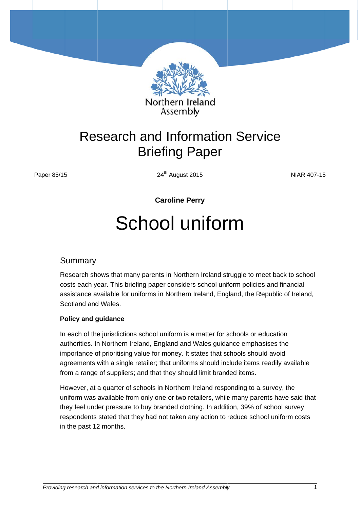

## **Research and Information Service Briefing Paper**

Paper 85/15

24<sup>th</sup> August 2015

**NIAR 407-15** 

**Caroline Perry** 

# School uniform

#### Summary

Research shows that many parents in Northern Ireland struggle to meet back to school costs each year. This briefing paper considers school uniform policies and financial assistance available for uniforms in Northern Ireland, England, the Republic of Ireland, Scotland and Wales.

#### **Policy and quidance**

In each of the jurisdictions school uniform is a matter for schools or education authorities. In Northern Ireland, England and Wales guidance emphasises the importance of prioritising value for money. It states that schools should avoid agreements with a single retailer; that uniforms should include items readily available from a range of suppliers; and that they should limit branded items.

However, at a quarter of schools in Northern Ireland responding to a survey, the uniform was available from only one or two retailers, while many parents have said that they feel under pressure to buy branded clothing. In addition, 39% of school survey respondents stated that they had not taken any action to reduce school uniform costs in the past 12 months.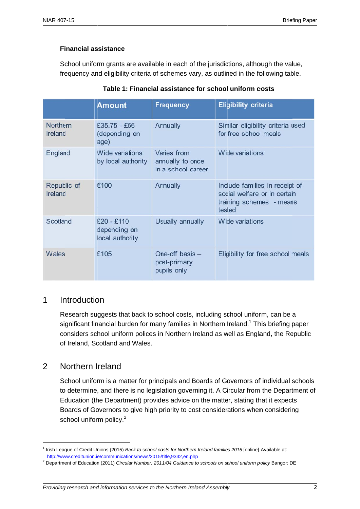School uniform grants are available in each of the jurisdictions, although the value, frequency and eligibility criteria of schemes vary, as outlined in the following table.

|                        | <b>Amount</b>                                   | <b>Frequency</b>                                      | <b>Eligibility criteria</b>                                                                          |
|------------------------|-------------------------------------------------|-------------------------------------------------------|------------------------------------------------------------------------------------------------------|
| Northern<br>Ireland    | $£35.75 - £56$<br>(depending on<br>age)         | Annually                                              | Similar eligibility criteria used<br>for free school meals                                           |
| England                | Wide variations<br>by local authority           | Varies from<br>annually to once<br>in a school career | Wide variations                                                                                      |
| Republic of<br>Ireland | €100                                            | Annually                                              | Include families in receipt of<br>social welfare or in certain<br>training schemes - means<br>tested |
| Scotland               | $E20 - E110$<br>depending on<br>local authority | Usually annually                                      | Wide variations                                                                                      |
| Wales                  | £105                                            | One-off basis -<br>post-primary<br>pupils only        | Eligibility for free school meals                                                                    |

#### Table 1: Financial assistance for school uniform costs

#### $\mathbf 1$ Introduction

Research suggests that back to school costs, including school uniform, can be a significant financial burden for many families in Northern Ireland.<sup>1</sup> This briefing paper considers school uniform polices in Northern Ireland as well as England, the Republic of Ireland, Scotland and Wales.

#### $\overline{2}$ Northern Ireland

School uniform is a matter for principals and Boards of Governors of individual schools to determine, and there is no legislation governing it. A Circular from the Department of Education (the Department) provides advice on the matter, stating that it expects Boards of Governors to give high priority to cost considerations when considering school uniform policy.<sup>2</sup>

<sup>&</sup>lt;sup>1</sup> Irish League of Credit Unions (2015) Back to school costs for Northern Ireland families 2015 [online] Available at: http://www.creditunion.ie/communications/news/2015/title.9332.en.php

<sup>&</sup>lt;sup>2</sup> Department of Education (2011) Circular Number: 2011/04 Guidance to schools on school uniform policy Bangor: DE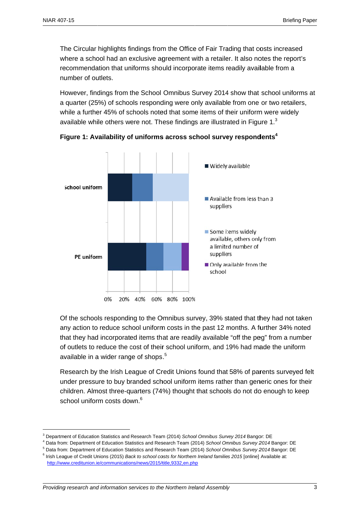The Circular highlights findings from the Office of Fair Trading that costs increased where a school had an exclusive agreement with a retailer. It also notes the report's recommendation that uniforms should incorporate items readily available from a number of outlets.

However, findings from the School Omnibus Survey 2014 show that school uniforms at a quarter (25%) of schools responding were only available from one or two retailers, while a further 45% of schools noted that some items of their uniform were widely available while others were not. These findings are illustrated in Figure  $1<sup>3</sup>$ 



Figure 1: Availability of uniforms across school survey respondents<sup>4</sup>

Of the schools responding to the Omnibus survey, 39% stated that they had not taken any action to reduce school uniform costs in the past 12 months. A further 34% noted that they had incorporated items that are readily available "off the peg" from a number of outlets to reduce the cost of their school uniform, and 19% had made the uniform available in a wider range of shops.<sup>5</sup>

Research by the Irish League of Credit Unions found that 58% of parents surveyed felt under pressure to buy branded school uniform items rather than generic ones for their children. Almost three-quarters (74%) thought that schools do not do enough to keep school uniform costs down.<sup>6</sup>

<sup>&</sup>lt;sup>3</sup> Department of Education Statistics and Research Team (2014) School Omnibus Survey 2014 Bangor: DE

<sup>&</sup>lt;sup>4</sup> Data from: Department of Education Statistics and Research Team (2014) School Omnibus Survey 2014 Bangor: DE

<sup>&</sup>lt;sup>5</sup> Data from: Department of Education Statistics and Research Team (2014) School Omnibus Survey 2014 Bangor: DE

<sup>&</sup>lt;sup>6</sup> Irish League of Credit Unions (2015) Back to school costs for Northern Ireland families 2015 [online] Available at: http://www.creditunion.ie/communications/news/2015/title,9332,en.php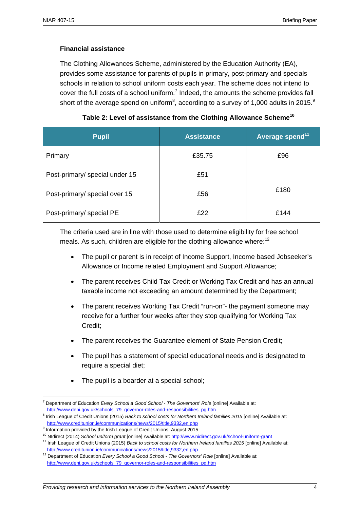The Clothing Allowances Scheme, administered by the Education Authority (EA), provides some assistance for parents of pupils in primary, post-primary and specials schools in relation to school uniform costs each year. The scheme does not intend to cover the full costs of a school uniform.<sup>7</sup> Indeed, the amounts the scheme provides fall short of the average spend on uniform<sup>8</sup>, according to a survey of 1,000 adults in 2015.<sup>9</sup>

| <b>Pupil</b>                   | <b>Assistance</b> | Average spend <sup>11</sup> |
|--------------------------------|-------------------|-----------------------------|
| Primary                        | £35.75            | £96                         |
| Post-primary/ special under 15 | £51               |                             |
| Post-primary/ special over 15  | £56               | £180                        |
| Post-primary/ special PE       | £22               | £144                        |

| Table 2: Level of assistance from the Clothing Allowance Scheme $^{10}$ |  |  |
|-------------------------------------------------------------------------|--|--|
|-------------------------------------------------------------------------|--|--|

The criteria used are in line with those used to determine eligibility for free school meals. As such, children are eligible for the clothing allowance where: $12$ 

- The pupil or parent is in receipt of Income Support, Income based Jobseeker's Allowance or Income related Employment and Support Allowance;
- The parent receives Child Tax Credit or Working Tax Credit and has an annual taxable income not exceeding an amount determined by the Department;
- The parent receives Working Tax Credit "run-on"- the payment someone may receive for a further four weeks after they stop qualifying for Working Tax Credit;
- The parent receives the Guarantee element of State Pension Credit;
- The pupil has a statement of special educational needs and is designated to require a special diet;
- The pupil is a boarder at a special school;

<u>.</u>

<sup>7</sup> Department of Education *Every School a Good School - The Governors' Role* [online] Available at: http://www.deni.gov.uk/schools\_79\_governor-roles-and-responsibilities\_pg.htm

<sup>&</sup>lt;sup>8</sup> Irish League of Credit Unions (2015) *Back to school costs for Northern Ireland families 2015* [online] Available at: http://www.creditunion.ie/communications/news/2015/title,9332,en.php

<sup>&</sup>lt;sup>9</sup> Information provided by the Irish League of Credit Unions, August 2015

<sup>&</sup>lt;sup>10</sup> NIdirect (2014) School uniform grant [online] Available at: http://www.nidirect.gov.uk/school-uniform-grant<br><sup>11</sup> Irish League of Credit Unions (2015) *Back to school costs for Northern Ireland families 2015* [online] http://www.creditunion.ie/communications/news/2015/title,9332,en.php

<sup>&</sup>lt;sup>12</sup> Department of Education *Every School a Good School - The Governors' Role* [online] Available at: http://www.deni.gov.uk/schools\_79\_governor-roles-and-responsibilities\_pg.htm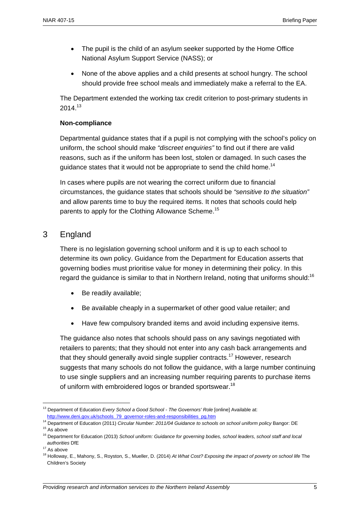- The pupil is the child of an asylum seeker supported by the Home Office National Asylum Support Service (NASS); or
- None of the above applies and a child presents at school hungry. The school should provide free school meals and immediately make a referral to the EA.

The Department extended the working tax credit criterion to post-primary students in 2014 13

#### **Non-compliance**

Departmental guidance states that if a pupil is not complying with the school's policy on uniform, the school should make *"discreet enquiries"* to find out if there are valid reasons, such as if the uniform has been lost, stolen or damaged. In such cases the guidance states that it would not be appropriate to send the child home.<sup>14</sup>

In cases where pupils are not wearing the correct uniform due to financial circumstances, the guidance states that schools should be *"sensitive to the situation"*  and allow parents time to buy the required items. It notes that schools could help parents to apply for the Clothing Allowance Scheme.<sup>15</sup>

## 3 England

There is no legislation governing school uniform and it is up to each school to determine its own policy. Guidance from the Department for Education asserts that governing bodies must prioritise value for money in determining their policy. In this regard the guidance is similar to that in Northern Ireland, noting that uniforms should:<sup>16</sup>

- Be readily available;
- Be available cheaply in a supermarket of other good value retailer; and
- Have few compulsory branded items and avoid including expensive items.

The guidance also notes that schools should pass on any savings negotiated with retailers to parents; that they should not enter into any cash back arrangements and that they should generally avoid single supplier contracts.<sup>17</sup> However, research suggests that many schools do not follow the guidance, with a large number continuing to use single suppliers and an increasing number requiring parents to purchase items of uniform with embroidered logos or branded sportswear.<sup>18</sup>

1

<sup>&</sup>lt;sup>13</sup> Department of Education *Every School a Good School - The Governors' Role* [online] Available at:

http://www.deni.gov.uk/schools\_79\_governor-roles-and-responsibilities\_pg.htm 14 Department of Education (2011) *Circular Number: 2011/04 Guidance to schools on school uniform policy* Bangor: DE 15 As above

<sup>16</sup> Department for Education (2013) *School uniform: Guidance for governing bodies, school leaders, school staff and local authorities* DfE 17 As above

<sup>18</sup> Holloway, E., Mahony, S., Royston, S., Mueller, D. (2014) *At What Cost? Exposing the impact of poverty on school life* The Children's Society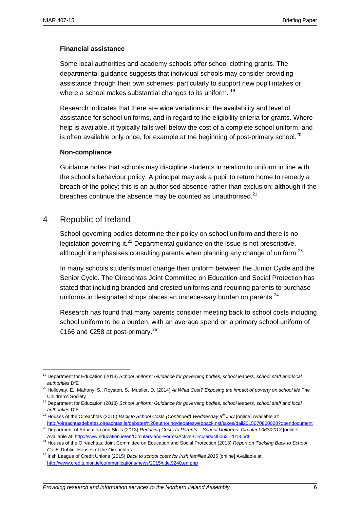Some local authorities and academy schools offer school clothing grants. The departmental guidance suggests that individual schools may consider providing assistance through their own schemes, particularly to support new pupil intakes or where a school makes substantial changes to its uniform.<sup>19</sup>

Research indicates that there are wide variations in the availability and level of assistance for school uniforms, and in regard to the eligibility criteria for grants. Where help is available, it typically falls well below the cost of a complete school uniform, and is often available only once, for example at the beginning of post-primary school.<sup>20</sup>

#### **Non-compliance**

Guidance notes that schools may discipline students in relation to uniform in line with the school's behaviour policy. A principal may ask a pupil to return home to remedy a breach of the policy; this is an authorised absence rather than exclusion; although if the breaches continue the absence may be counted as unauthorised.<sup>21</sup>

#### 4 Republic of Ireland

1

School governing bodies determine their policy on school uniform and there is no legislation governing it. $^{22}$  Departmental guidance on the issue is not prescriptive, although it emphasises consulting parents when planning any change of uniform.<sup>23</sup>

In many schools students must change their uniform between the Junior Cycle and the Senior Cycle. The Oireachtas Joint Committee on Education and Social Protection has stated that including branded and crested uniforms and requiring parents to purchase uniforms in designated shops places an unnecessary burden on parents.<sup>24</sup>

Research has found that many parents consider meeting back to school costs including school uniform to be a burden, with an average spend on a primary school uniform of €166 and €258 at post-primary.<sup>25</sup>

<sup>19</sup> Department for Education (2013) *School uniform: Guidance for governing bodies, school leaders, school staff and local* 

*authorities* DfE 20 Holloway, E., Mahony, S., Royston, S., Mueller, D. (2014) *At What Cost? Exposing the impact of poverty on school life* The

Children's Society 21 Department for Education (2013) *School uniform: Guidance for governing bodies, school leaders, school staff and local* 

*authorities* DfE 22 Houses of the Oireachtas (2015) *Back to School Costs (Continued) Wednesday 8th July* [online] Available at:

http://oireachtasdebates.oireachtas.ie/debates%20authoring/debateswebpack.nsf/takes/dail2015070800028?opendocument<br><sup>23</sup> Department of Education and Skills (2013) Reducing Costs to Parents – School Uniforms: Circular 0063/2

Available at: http://www.education.ie/en/Circulars-and-Forms/Active-Circulars/cl0063\_2013.pdf 24 Houses of the Oireachtas: Joint Committee on Education and Social Protection (2013) *Report on Tackling Back to School* 

*Costs* Dublin: Houses of the Oireachtas 25 Irish League of Credit Unions (2015) *Back to school costs for Irish families 2015* [online] Available at: http://www.creditunion.ie/communications/news/2015/title,9240,en.php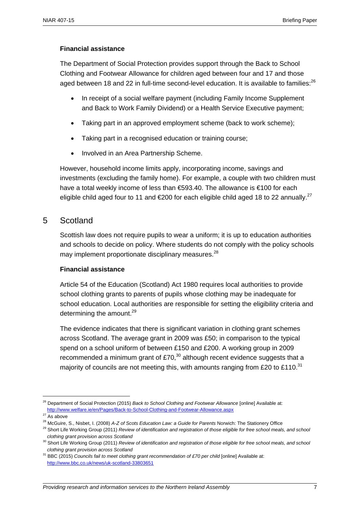The Department of Social Protection provides support through the Back to School Clothing and Footwear Allowance for children aged between four and 17 and those aged between 18 and 22 in full-time second-level education. It is available to families:<sup>26</sup>

- In receipt of a social welfare payment (including Family Income Supplement and Back to Work Family Dividend) or a Health Service Executive payment;
- Taking part in an approved employment scheme (back to work scheme);
- Taking part in a recognised education or training course;
- Involved in an Area Partnership Scheme.

However, household income limits apply, incorporating income, savings and investments (excluding the family home). For example, a couple with two children must have a total weekly income of less than €593.40. The allowance is €100 for each eligible child aged four to 11 and  $\epsilon$ 200 for each eligible child aged 18 to 22 annually.<sup>27</sup>

#### 5 Scotland

Scottish law does not require pupils to wear a uniform; it is up to education authorities and schools to decide on policy. Where students do not comply with the policy schools may implement proportionate disciplinary measures.<sup>28</sup>

#### **Financial assistance**

Article 54 of the Education (Scotland) Act 1980 requires local authorities to provide school clothing grants to parents of pupils whose clothing may be inadequate for school education. Local authorities are responsible for setting the eligibility criteria and determining the amount. $^{29}$ 

The evidence indicates that there is significant variation in clothing grant schemes across Scotland. The average grant in 2009 was £50; in comparison to the typical spend on a school uniform of between £150 and £200. A working group in 2009 recommended a minimum grant of  $£70<sup>30</sup>$  although recent evidence suggests that a majority of councils are not meeting this, with amounts ranging from £20 to £110.<sup>31</sup>

<u>.</u>

<sup>26</sup> Department of Social Protection (2015) *Back to School Clothing and Footwear Allowance* [online] Available at: http://www.welfare.ie/en/Pages/Back-to-School-Clothing-and-Footwear-Allowance.aspx 27 As above

<sup>&</sup>lt;sup>28</sup> McGuire, S., Nisbet, I. (2008) A-Z of Scots Education Law: a Guide for Parents Norwich: The Stationery Office<br><sup>29</sup> Short Life Working Group (2011) Review of identification and registration of those eligible for free s

*clothing grant provision across Scotland*

<sup>&</sup>lt;sup>30</sup> Short Life Working Group (2011) *Review of identification and registration of those eligible for free school meals, and school clothing grant provision across Scotland*

<sup>&</sup>lt;sup>31</sup> BBC (2015) *Councils fail to meet clothing grant recommendation of £70 per child* [online] Available at: http://www.bbc.co.uk/news/uk-scotland-33803651